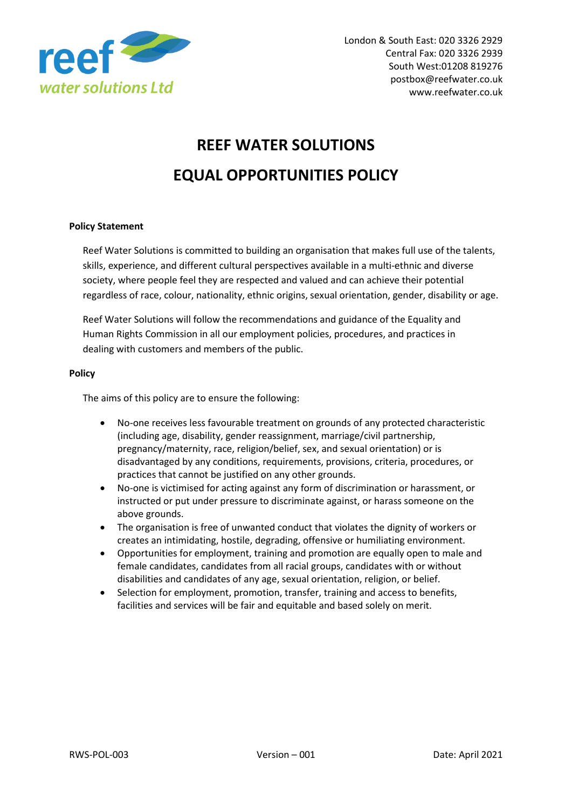

## **REEF WATER SOLUTIONS EQUAL OPPORTUNITIES POLICY**

## **Policy Statement**

Reef Water Solutions is committed to building an organisation that makes full use of the talents, skills, experience, and different cultural perspectives available in a multi-ethnic and diverse society, where people feel they are respected and valued and can achieve their potential regardless of race, colour, nationality, ethnic origins, sexual orientation, gender, disability or age.

Reef Water Solutions will follow the recommendations and guidance of the Equality and Human Rights Commission in all our employment policies, procedures, and practices in dealing with customers and members of the public.

## **Policy**

The aims of this policy are to ensure the following:

- No-one receives less favourable treatment on grounds of any protected characteristic (including age, disability, gender reassignment, marriage/civil partnership, pregnancy/maternity, race, religion/belief, sex, and sexual orientation) or is disadvantaged by any conditions, requirements, provisions, criteria, procedures, or practices that cannot be justified on any other grounds.
- No-one is victimised for acting against any form of discrimination or harassment, or instructed or put under pressure to discriminate against, or harass someone on the above grounds.
- The organisation is free of unwanted conduct that violates the dignity of workers or creates an intimidating, hostile, degrading, offensive or humiliating environment.
- Opportunities for employment, training and promotion are equally open to male and female candidates, candidates from all racial groups, candidates with or without disabilities and candidates of any age, sexual orientation, religion, or belief.
- Selection for employment, promotion, transfer, training and access to benefits, facilities and services will be fair and equitable and based solely on merit.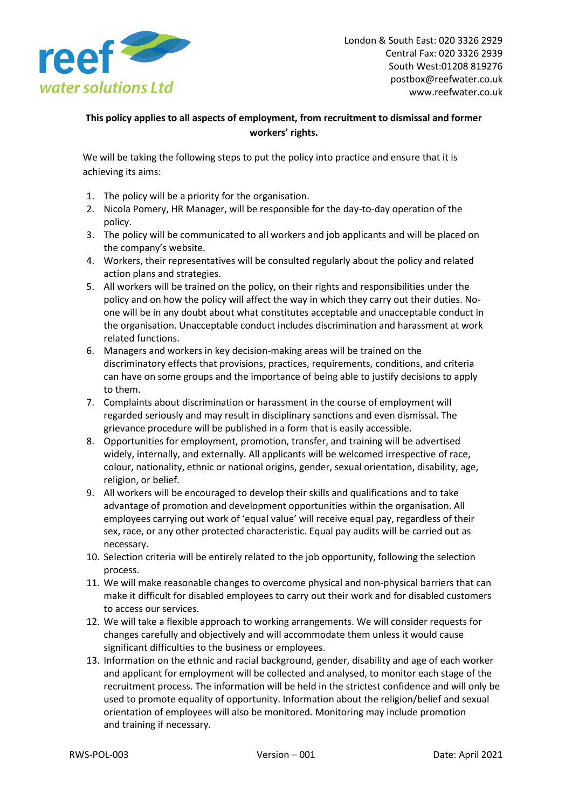

## **This policy applies to all aspects of employment, from recruitment to dismissal and former workers' rights.**

We will be taking the following steps to put the policy into practice and ensure that it is achieving its aims:

- 1. The policy will be a priority for the organisation.
- 2. Nicola Pomery, HR Manager, will be responsible for the day-to-day operation of the policy.
- 3. The policy will be communicated to all workers and job applicants and will be placed on the company's website.
- 4. Workers, their representatives will be consulted regularly about the policy and related action plans and strategies.
- 5. All workers will be trained on the policy, on their rights and responsibilities under the policy and on how the policy will affect the way in which they carry out their duties. Noone will be in any doubt about what constitutes acceptable and unacceptable conduct in the organisation. Unacceptable conduct includes discrimination and harassment at work related functions.
- 6. Managers and workers in key decision-making areas will be trained on the discriminatory effects that provisions, practices, requirements, conditions, and criteria can have on some groups and the importance of being able to justify decisions to apply to them.
- 7. Complaints about discrimination or harassment in the course of employment will regarded seriously and may result in disciplinary sanctions and even dismissal. The grievance procedure will be published in a form that is easily accessible.
- 8. Opportunities for employment, promotion, transfer, and training will be advertised widely, internally, and externally. All applicants will be welcomed irrespective of race, colour, nationality, ethnic or national origins, gender, sexual orientation, disability, age, religion, or belief.
- 9. All workers will be encouraged to develop their skills and qualifications and to take advantage of promotion and development opportunities within the organisation. All employees carrying out work of 'equal value' will receive equal pay, regardless of their sex, race, or any other protected characteristic. Equal pay audits will be carried out as necessary.
- 10. Selection criteria will be entirely related to the job opportunity, following the selection process.
- 11. We will make reasonable changes to overcome physical and non-physical barriers that can make it difficult for disabled employees to carry out their work and for disabled customers to access our services.
- 12. We will take a flexible approach to working arrangements. We will consider requests for changes carefully and objectively and will accommodate them unless it would cause significant difficulties to the business or employees.
- 13. Information on the ethnic and racial background, gender, disability and age of each worker and applicant for employment will be collected and analysed, to monitor each stage of the recruitment process. The information will be held in the strictest confidence and will only be used to promote equality of opportunity. Information about the religion/belief and sexual orientation of employees will also be monitored. Monitoring may include promotion and training if necessary.